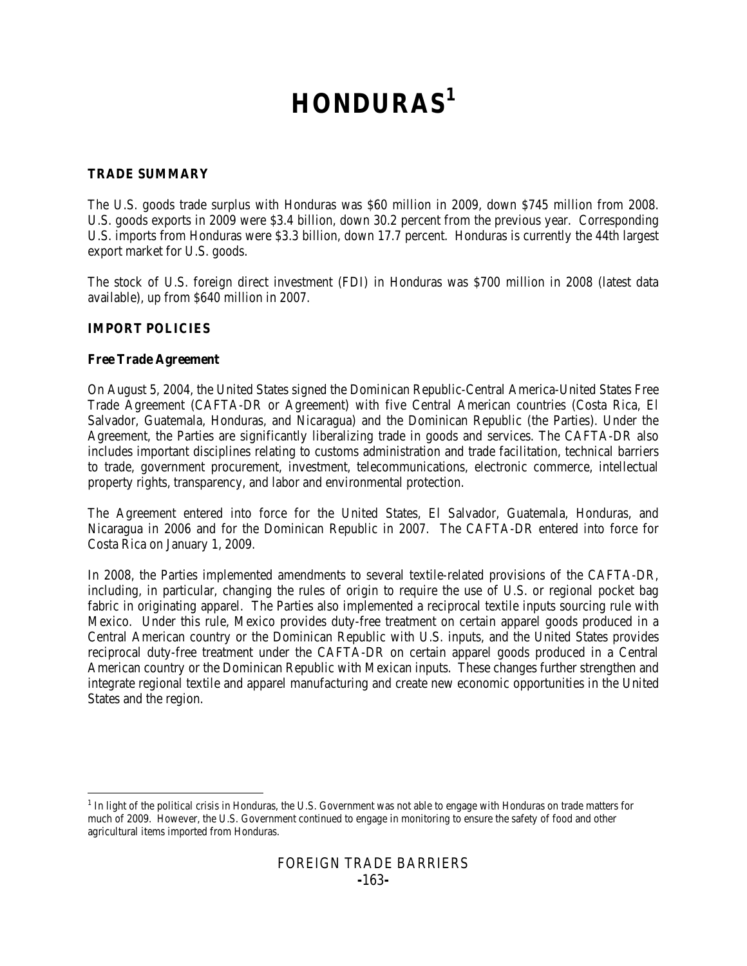# **HONDURAS[1](#page-0-0)**

# **TRADE SUMMARY**

The U.S. goods trade surplus with Honduras was \$60 million in 2009, down \$745 million from 2008. U.S. goods exports in 2009 were \$3.4 billion, down 30.2 percent from the previous year. Corresponding U.S. imports from Honduras were \$3.3 billion, down 17.7 percent. Honduras is currently the 44th largest export market for U.S. goods.

The stock of U.S. foreign direct investment (FDI) in Honduras was \$700 million in 2008 (latest data available), up from \$640 million in 2007.

# **IMPORT POLICIES**

## **Free Trade Agreement**

On August 5, 2004, the United States signed the Dominican Republic-Central America-United States Free Trade Agreement (CAFTA-DR or Agreement) with five Central American countries (Costa Rica, El Salvador, Guatemala, Honduras, and Nicaragua) and the Dominican Republic (the Parties). Under the Agreement, the Parties are significantly liberalizing trade in goods and services. The CAFTA-DR also includes important disciplines relating to customs administration and trade facilitation, technical barriers to trade, government procurement, investment, telecommunications, electronic commerce, intellectual property rights, transparency, and labor and environmental protection.

The Agreement entered into force for the United States, El Salvador, Guatemala, Honduras, and Nicaragua in 2006 and for the Dominican Republic in 2007. The CAFTA-DR entered into force for Costa Rica on January 1, 2009.

In 2008, the Parties implemented amendments to several textile-related provisions of the CAFTA-DR, including, in particular, changing the rules of origin to require the use of U.S. or regional pocket bag fabric in originating apparel. The Parties also implemented a reciprocal textile inputs sourcing rule with Mexico. Under this rule, Mexico provides duty-free treatment on certain apparel goods produced in a Central American country or the Dominican Republic with U.S. inputs, and the United States provides reciprocal duty-free treatment under the CAFTA-DR on certain apparel goods produced in a Central American country or the Dominican Republic with Mexican inputs. These changes further strengthen and integrate regional textile and apparel manufacturing and create new economic opportunities in the United States and the region.

<span id="page-0-0"></span> $<sup>1</sup>$  In light of the political crisis in Honduras, the U.S. Government was not able to engage with Honduras on trade matters for</sup> much of 2009. However, the U.S. Government continued to engage in monitoring to ensure the safety of food and other agricultural items imported from Honduras.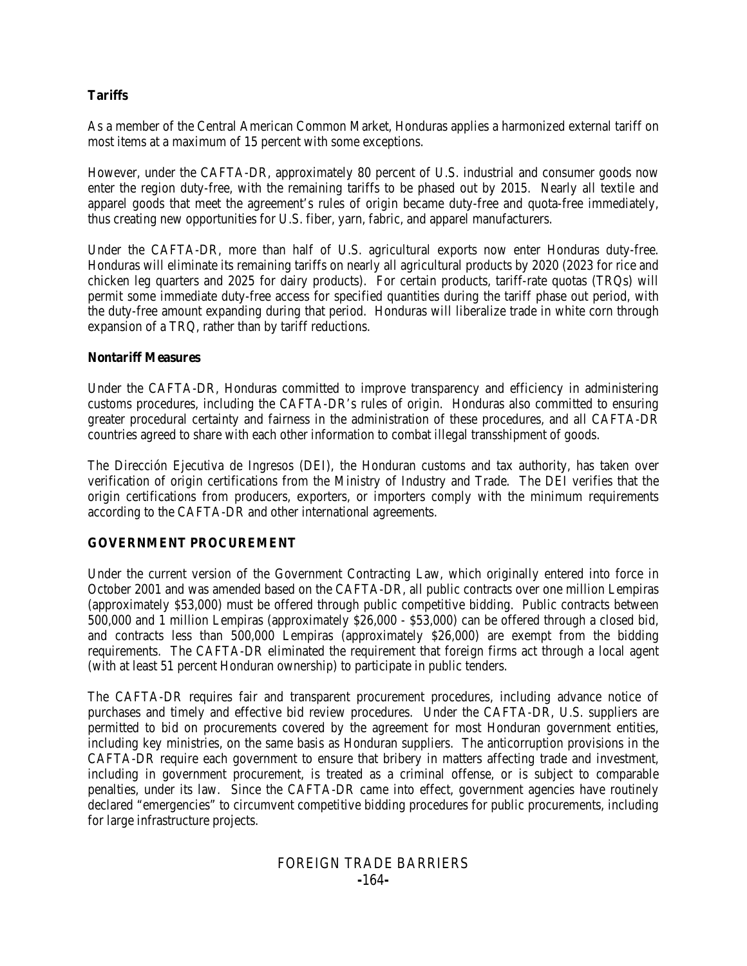## **Tariffs**

As a member of the Central American Common Market, Honduras applies a harmonized external tariff on most items at a maximum of 15 percent with some exceptions.

However, under the CAFTA-DR, approximately 80 percent of U.S. industrial and consumer goods now enter the region duty-free, with the remaining tariffs to be phased out by 2015. Nearly all textile and apparel goods that meet the agreement's rules of origin became duty-free and quota-free immediately, thus creating new opportunities for U.S. fiber, yarn, fabric, and apparel manufacturers.

Under the CAFTA-DR, more than half of U.S. agricultural exports now enter Honduras duty-free. Honduras will eliminate its remaining tariffs on nearly all agricultural products by 2020 (2023 for rice and chicken leg quarters and 2025 for dairy products). For certain products, tariff-rate quotas (TRQs) will permit some immediate duty-free access for specified quantities during the tariff phase out period, with the duty-free amount expanding during that period. Honduras will liberalize trade in white corn through expansion of a TRQ, rather than by tariff reductions.

#### **Nontariff Measures**

Under the CAFTA-DR, Honduras committed to improve transparency and efficiency in administering customs procedures, including the CAFTA-DR's rules of origin. Honduras also committed to ensuring greater procedural certainty and fairness in the administration of these procedures, and all CAFTA-DR countries agreed to share with each other information to combat illegal transshipment of goods.

The Dirección Ejecutiva de Ingresos (DEI), the Honduran customs and tax authority, has taken over verification of origin certifications from the Ministry of Industry and Trade. The DEI verifies that the origin certifications from producers, exporters, or importers comply with the minimum requirements according to the CAFTA-DR and other international agreements.

## **GOVERNMENT PROCUREMENT**

Under the current version of the Government Contracting Law, which originally entered into force in October 2001 and was amended based on the CAFTA-DR, all public contracts over one million Lempiras (approximately \$53,000) must be offered through public competitive bidding. Public contracts between 500,000 and 1 million Lempiras (approximately \$26,000 - \$53,000) can be offered through a closed bid, and contracts less than 500,000 Lempiras (approximately \$26,000) are exempt from the bidding requirements. The CAFTA-DR eliminated the requirement that foreign firms act through a local agent (with at least 51 percent Honduran ownership) to participate in public tenders.

The CAFTA-DR requires fair and transparent procurement procedures, including advance notice of purchases and timely and effective bid review procedures. Under the CAFTA-DR, U.S. suppliers are permitted to bid on procurements covered by the agreement for most Honduran government entities, including key ministries, on the same basis as Honduran suppliers. The anticorruption provisions in the CAFTA-DR require each government to ensure that bribery in matters affecting trade and investment, including in government procurement, is treated as a criminal offense, or is subject to comparable penalties, under its law. Since the CAFTA-DR came into effect, government agencies have routinely declared "emergencies" to circumvent competitive bidding procedures for public procurements, including for large infrastructure projects.

# FOREIGN TRADE BARRIERS **-**164**-**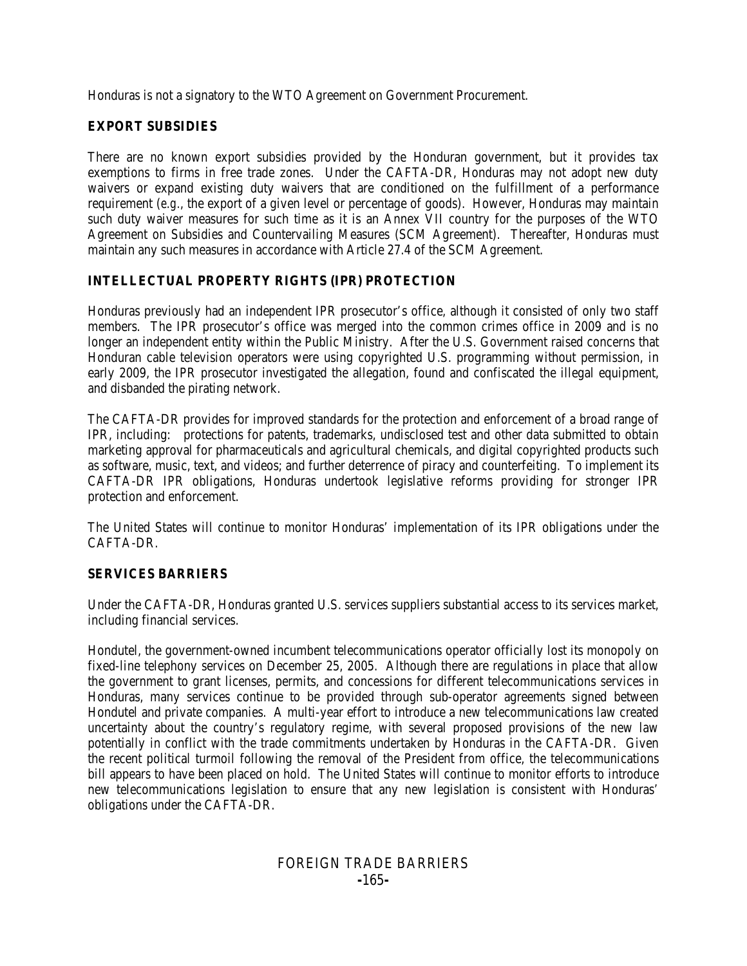Honduras is not a signatory to the WTO Agreement on Government Procurement.

#### **EXPORT SUBSIDIES**

There are no known export subsidies provided by the Honduran government, but it provides tax exemptions to firms in free trade zones. Under the CAFTA-DR, Honduras may not adopt new duty waivers or expand existing duty waivers that are conditioned on the fulfillment of a performance requirement (*e.g.*, the export of a given level or percentage of goods). However, Honduras may maintain such duty waiver measures for such time as it is an Annex VII country for the purposes of the WTO Agreement on Subsidies and Countervailing Measures (SCM Agreement). Thereafter, Honduras must maintain any such measures in accordance with Article 27.4 of the SCM Agreement.

# **INTELLECTUAL PROPERTY RIGHTS (IPR) PROTECTION**

Honduras previously had an independent IPR prosecutor's office, although it consisted of only two staff members. The IPR prosecutor's office was merged into the common crimes office in 2009 and is no longer an independent entity within the Public Ministry. After the U.S. Government raised concerns that Honduran cable television operators were using copyrighted U.S. programming without permission, in early 2009, the IPR prosecutor investigated the allegation, found and confiscated the illegal equipment, and disbanded the pirating network.

The CAFTA-DR provides for improved standards for the protection and enforcement of a broad range of IPR, including: protections for patents, trademarks, undisclosed test and other data submitted to obtain marketing approval for pharmaceuticals and agricultural chemicals, and digital copyrighted products such as software, music, text, and videos; and further deterrence of piracy and counterfeiting. To implement its CAFTA-DR IPR obligations, Honduras undertook legislative reforms providing for stronger IPR protection and enforcement.

The United States will continue to monitor Honduras' implementation of its IPR obligations under the CAFTA-DR.

## **SERVICES BARRIERS**

Under the CAFTA-DR, Honduras granted U.S. services suppliers substantial access to its services market, including financial services.

Hondutel, the government-owned incumbent telecommunications operator officially lost its monopoly on fixed-line telephony services on December 25, 2005. Although there are regulations in place that allow the government to grant licenses, permits, and concessions for different telecommunications services in Honduras, many services continue to be provided through sub-operator agreements signed between Hondutel and private companies. A multi-year effort to introduce a new telecommunications law created uncertainty about the country's regulatory regime, with several proposed provisions of the new law potentially in conflict with the trade commitments undertaken by Honduras in the CAFTA-DR. Given the recent political turmoil following the removal of the President from office, the telecommunications bill appears to have been placed on hold. The United States will continue to monitor efforts to introduce new telecommunications legislation to ensure that any new legislation is consistent with Honduras' obligations under the CAFTA-DR.

# FOREIGN TRADE BARRIERS **-**165**-**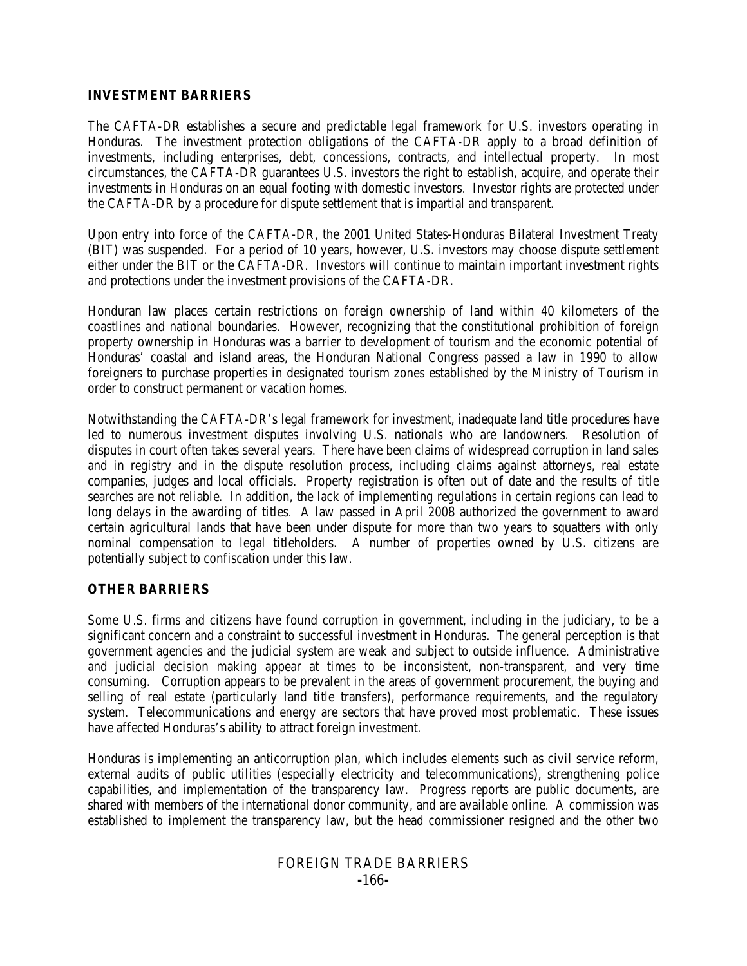#### **INVESTMENT BARRIERS**

The CAFTA-DR establishes a secure and predictable legal framework for U.S. investors operating in Honduras. The investment protection obligations of the CAFTA-DR apply to a broad definition of investments, including enterprises, debt, concessions, contracts, and intellectual property. In most circumstances, the CAFTA-DR guarantees U.S. investors the right to establish, acquire, and operate their investments in Honduras on an equal footing with domestic investors. Investor rights are protected under the CAFTA-DR by a procedure for dispute settlement that is impartial and transparent.

Upon entry into force of the CAFTA-DR, the 2001 United States-Honduras Bilateral Investment Treaty (BIT) was suspended. For a period of 10 years, however, U.S. investors may choose dispute settlement either under the BIT or the CAFTA-DR. Investors will continue to maintain important investment rights and protections under the investment provisions of the CAFTA-DR.

Honduran law places certain restrictions on foreign ownership of land within 40 kilometers of the coastlines and national boundaries. However, recognizing that the constitutional prohibition of foreign property ownership in Honduras was a barrier to development of tourism and the economic potential of Honduras' coastal and island areas, the Honduran National Congress passed a law in 1990 to allow foreigners to purchase properties in designated tourism zones established by the Ministry of Tourism in order to construct permanent or vacation homes.

Notwithstanding the CAFTA-DR's legal framework for investment, inadequate land title procedures have led to numerous investment disputes involving U.S. nationals who are landowners. Resolution of disputes in court often takes several years. There have been claims of widespread corruption in land sales and in registry and in the dispute resolution process, including claims against attorneys, real estate companies, judges and local officials. Property registration is often out of date and the results of title searches are not reliable. In addition, the lack of implementing regulations in certain regions can lead to long delays in the awarding of titles. A law passed in April 2008 authorized the government to award certain agricultural lands that have been under dispute for more than two years to squatters with only nominal compensation to legal titleholders. A number of properties owned by U.S. citizens are potentially subject to confiscation under this law.

## **OTHER BARRIERS**

Some U.S. firms and citizens have found corruption in government, including in the judiciary, to be a significant concern and a constraint to successful investment in Honduras. The general perception is that government agencies and the judicial system are weak and subject to outside influence. Administrative and judicial decision making appear at times to be inconsistent, non-transparent, and very time consuming. Corruption appears to be prevalent in the areas of government procurement, the buying and selling of real estate (particularly land title transfers), performance requirements, and the regulatory system. Telecommunications and energy are sectors that have proved most problematic. These issues have affected Honduras's ability to attract foreign investment.

Honduras is implementing an anticorruption plan, which includes elements such as civil service reform, external audits of public utilities (especially electricity and telecommunications), strengthening police capabilities, and implementation of the transparency law. Progress reports are public documents, are shared with members of the international donor community, and are available online. A commission was established to implement the transparency law, but the head commissioner resigned and the other two

## FOREIGN TRADE BARRIERS **-**166**-**